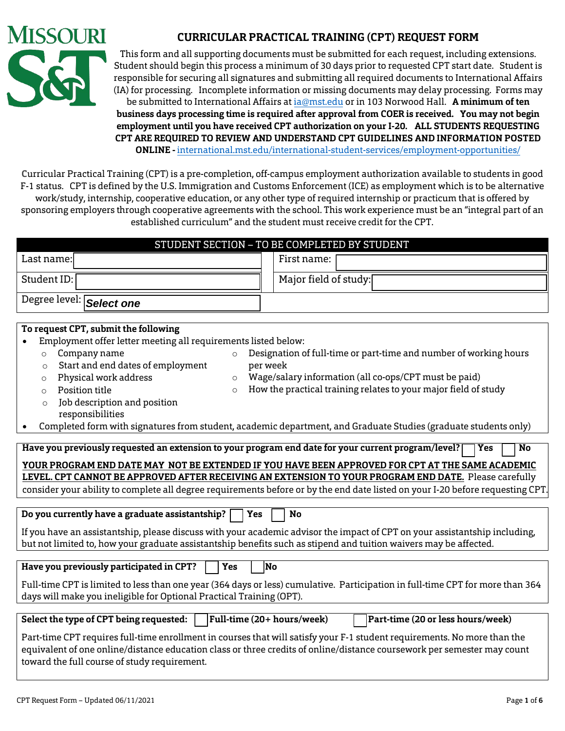

# **CURRICULAR PRACTICAL TRAINING (CPT) REQUEST FORM**

This form and all supporting documents must be submitted for each request, including extensions. Student should begin this process a minimum of 30 days prior to requested CPT start date. Student is responsible for securing all signatures and submitting all required documents to International Affairs (IA) for processing. Incomplete information or missing documents may delay processing. Forms may be submitted to International Affairs at [ia@mst.edu](mailto:ia@mst.edu) or in 103 Norwood Hall. **A minimum of ten business days processing time is required after approval from COER is received. You may not begin employment until you have received CPT authorization on your I-20. ALL STUDENTS REQUESTING CPT ARE REQUIRED TO REVIEW AND UNDERSTAND CPT GUIDELINES AND INFORMATION POSTED ONLINE -** [international.mst.edu/international-student-services/employment-opportunitie](https://international.mst.edu/international-student-services/employment-opportunities/)s/

**C**urricular Practical Training (CPT) is a pre-completion, off-campus employment authorization available to students in good F-1 status. CPT is defined by the U.S. Immigration and Customs Enforcement (ICE) as employment which is to be alternative work/study, internship, cooperative education, or any other type of required internship or practicum that is offered by sponsoring employers through cooperative agreements with the school. This work experience must be an "integral part of an established curriculum" and the student must receive credit for the CPT.

|                                                                                                                                | STUDENT SECTION - TO BE COMPLETED BY STUDENT                                                                                                                                                               |  |  |  |
|--------------------------------------------------------------------------------------------------------------------------------|------------------------------------------------------------------------------------------------------------------------------------------------------------------------------------------------------------|--|--|--|
| Last name:                                                                                                                     | First name:                                                                                                                                                                                                |  |  |  |
| Student ID:                                                                                                                    | Major field of study:                                                                                                                                                                                      |  |  |  |
| Degree level: Select one                                                                                                       |                                                                                                                                                                                                            |  |  |  |
|                                                                                                                                |                                                                                                                                                                                                            |  |  |  |
| To request CPT, submit the following                                                                                           |                                                                                                                                                                                                            |  |  |  |
| Employment offer letter meeting all requirements listed below:                                                                 |                                                                                                                                                                                                            |  |  |  |
| Company name<br>$\circ$<br>$\circ$                                                                                             | Designation of full-time or part-time and number of working hours                                                                                                                                          |  |  |  |
| Start and end dates of employment<br>per week<br>$\circ$                                                                       |                                                                                                                                                                                                            |  |  |  |
| Physical work address<br>$\circ$<br>$\circ$                                                                                    | Wage/salary information (all co-ops/CPT must be paid)                                                                                                                                                      |  |  |  |
| Position title<br>$\circ$<br>$\circ$                                                                                           | How the practical training relates to your major field of study                                                                                                                                            |  |  |  |
| Job description and position<br>$\circ$<br>responsibilities                                                                    |                                                                                                                                                                                                            |  |  |  |
|                                                                                                                                | Completed form with signatures from student, academic department, and Graduate Studies (graduate students only)                                                                                            |  |  |  |
|                                                                                                                                |                                                                                                                                                                                                            |  |  |  |
| Have you previously requested an extension to your program end date for your current program/level?                            | <b>Yes</b><br>No                                                                                                                                                                                           |  |  |  |
|                                                                                                                                | YOUR PROGRAM END DATE MAY  NOT BE EXTENDED IF YOU HAVE BEEN APPROVED FOR CPT AT THE SAME ACADEMIC<br>LEVEL. CPT CANNOT BE APPROVED AFTER RECEIVING AN EXTENSION TO YOUR PROGRAM END DATE. Please carefully |  |  |  |
|                                                                                                                                | consider your ability to complete all degree requirements before or by the end date listed on your I-20 before requesting CPT.                                                                             |  |  |  |
|                                                                                                                                |                                                                                                                                                                                                            |  |  |  |
| Do you currently have a graduate assistantship?<br>Yes                                                                         | <b>No</b>                                                                                                                                                                                                  |  |  |  |
| If you have an assistantship, please discuss with your academic advisor the impact of CPT on your assistantship including,     |                                                                                                                                                                                                            |  |  |  |
| but not limited to, how your graduate assistantship benefits such as stipend and tuition waivers may be affected.              |                                                                                                                                                                                                            |  |  |  |
|                                                                                                                                |                                                                                                                                                                                                            |  |  |  |
| Have you previously participated in CPT?<br>Yes<br><b>No</b>                                                                   |                                                                                                                                                                                                            |  |  |  |
| Full-time CPT is limited to less than one year (364 days or less) cumulative. Participation in full-time CPT for more than 364 |                                                                                                                                                                                                            |  |  |  |
| days will make you ineligible for Optional Practical Training (OPT).                                                           |                                                                                                                                                                                                            |  |  |  |
|                                                                                                                                |                                                                                                                                                                                                            |  |  |  |
| Full-time (20+ hours/week)<br>Select the type of CPT being requested:                                                          | Part-time (20 or less hours/week)                                                                                                                                                                          |  |  |  |
| Part-time CPT requires full-time enrollment in courses that will satisfy your F-1 student requirements. No more than the       |                                                                                                                                                                                                            |  |  |  |
| equivalent of one online/distance education class or three credits of online/distance coursework per semester may count        |                                                                                                                                                                                                            |  |  |  |
| toward the full course of study requirement.                                                                                   |                                                                                                                                                                                                            |  |  |  |
|                                                                                                                                |                                                                                                                                                                                                            |  |  |  |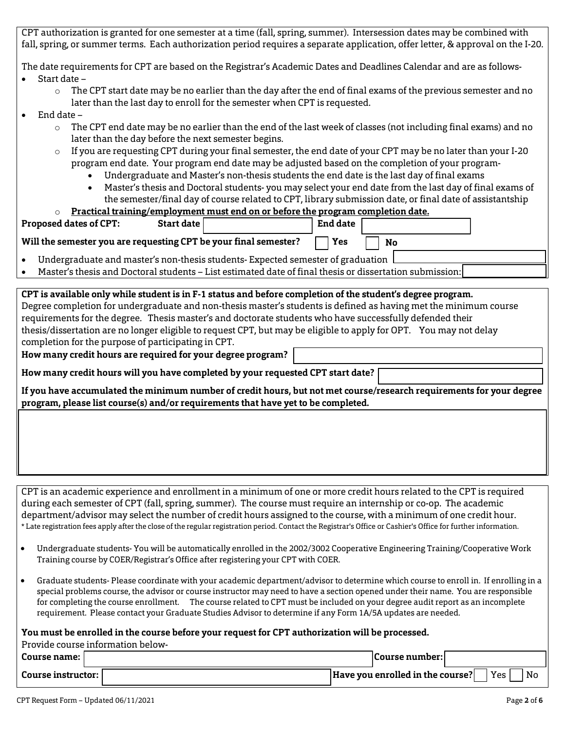CPT authorization is granted for one semester at a time (fall, spring, summer). Intersession dates may be combined with fall, spring, or summer terms. Each authorization period requires a separate application, offer letter, & approval on the I-20.

The date requirements for CPT are based on the Registrar's Academic Dates and Deadlines Calendar and are as follows-

- Start date
	- $\circ$  The CPT start date may be no earlier than the day after the end of final exams of the previous semester and no later than the last day to enroll for the semester when CPT is requested.
- End date
	- $\circ$  The CPT end date may be no earlier than the end of the last week of classes (not including final exams) and no later than the day before the next semester begins.
	- $\circ$  If you are requesting CPT during your final semester, the end date of your CPT may be no later than your I-20 program end date. Your program end date may be adjusted based on the completion of your program-
		- Undergraduate and Master's non-thesis students the end date is the last day of final exams
		- Master's thesis and Doctoral students- you may select your end date from the last day of final exams of the semester/final day of course related to CPT, library submission date, or final date of assistantship

| Practical training/employment must end on or before the program completion date.<br>$\Omega$                         |            |  |          |  |  |
|----------------------------------------------------------------------------------------------------------------------|------------|--|----------|--|--|
| Proposed dates of CPT:                                                                                               | Start date |  | End date |  |  |
| Will the semester you are requesting CPT be your final semester?<br>Yes<br>No                                        |            |  |          |  |  |
| Undergraduate and master's non-thesis students- Expected semester of graduation<br>$\bullet$                         |            |  |          |  |  |
| Master's thesis and Doctoral students – List estimated date of final thesis or dissertation submission:<br>$\bullet$ |            |  |          |  |  |
|                                                                                                                      |            |  |          |  |  |
| CPT is available only while student is in F-1 status and before completion of the student's degree program.          |            |  |          |  |  |
| Degree completion for undergraduate and non-thesis master's students is defined as having met the minimum course     |            |  |          |  |  |
| requirements for the degree. Thesis master's and doctorate students who have successfully defended their             |            |  |          |  |  |

thesis/dissertation are no longer eligible to request CPT, but may be eligible to apply for OPT. You may not delay completion for the purpose of participating in CPT.

**How many credit hours are required for your degree program?** 

**How many credit hours will you have completed by your requested CPT start date?**

**If you have accumulated the minimum number of credit hours, but not met course/research requirements for your degree program, please list course(s) and/or requirements that have yet to be completed.** 

CPT is an academic experience and enrollment in a minimum of one or more credit hours related to the CPT is required during each semester of CPT (fall, spring, summer). The course must require an internship or co-op. The academic department/advisor may select the number of credit hours assigned to the course, with a minimum of one credit hour. \* Late registration fees apply after the close of the regular registration period. Contact the Registrar's Office or Cashier's Office for further information.

- Undergraduate students- You will be automatically enrolled in the 2002/3002 Cooperative Engineering Training/Cooperative Work Training course by COER/Registrar's Office after registering your CPT with COER.
- Graduate students- Please coordinate with your academic department/advisor to determine which course to enroll in. If enrolling in a special problems course, the advisor or course instructor may need to have a section opened under their name. You are responsible for completing the course enrollment. The course related to CPT must be included on your degree audit report as an incomplete requirement. Please contact your Graduate Studies Advisor to determine if any Form 1A/5A updates are needed.

#### **You must be enrolled in the course before your request for CPT authorization will be processed.**

| Provide course information below- |                                                 |  |  |  |
|-----------------------------------|-------------------------------------------------|--|--|--|
| Course name: l                    | Course number:                                  |  |  |  |
| Course instructor: I              | Yes<br> Have you enrolled in the course? <br>No |  |  |  |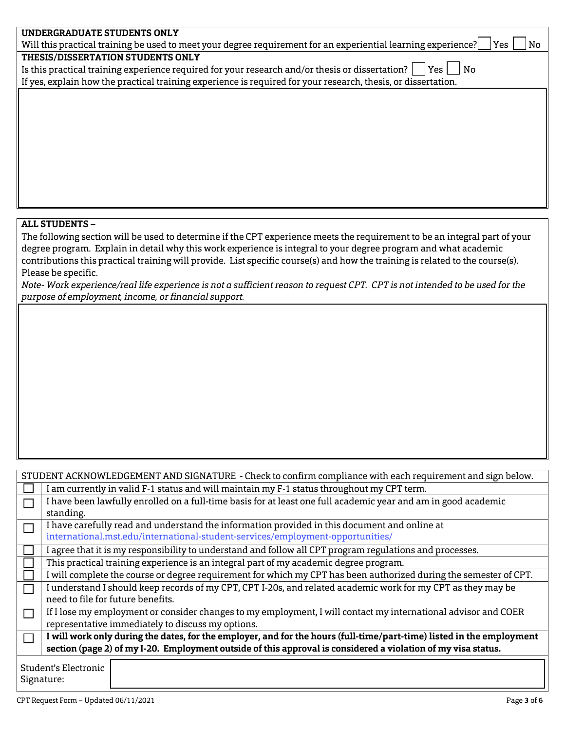| UNDERGRADUATE STUDENTS ONLY                                                                                                 |
|-----------------------------------------------------------------------------------------------------------------------------|
| Will this practical training be used to meet your degree requirement for an experiential learning experience?<br> Yes<br>No |
| THESIS/DISSERTATION STUDENTS ONLY                                                                                           |
| Is this practical training experience required for your research and/or thesis or dissertation?  <br>$ Yes $ No             |
| If yes, explain how the practical training experience is required for your research, thesis, or dissertation.               |
|                                                                                                                             |
|                                                                                                                             |
|                                                                                                                             |
|                                                                                                                             |
|                                                                                                                             |
|                                                                                                                             |
|                                                                                                                             |
|                                                                                                                             |
|                                                                                                                             |
|                                                                                                                             |
|                                                                                                                             |

## **ALL STUDENTS –**

The following section will be used to determine if the CPT experience meets the requirement to be an integral part of your degree program. Explain in detail why this work experience is integral to your degree program and what academic contributions this practical training will provide. List specific course(s) and how the training is related to the course(s). Please be specific.

*Note- Work experience/real life experience is not a sufficient reason to request CPT. CPT is not intended to be used for the purpose of employment, income, or financial support.*

| STUDENT ACKNOWLEDGEMENT AND SIGNATURE - Check to confirm compliance with each requirement and sign below.     |                                                                                                                       |  |  |  |  |
|---------------------------------------------------------------------------------------------------------------|-----------------------------------------------------------------------------------------------------------------------|--|--|--|--|
|                                                                                                               | I am currently in valid F-1 status and will maintain my F-1 status throughout my CPT term.                            |  |  |  |  |
|                                                                                                               | I have been lawfully enrolled on a full-time basis for at least one full academic year and am in good academic        |  |  |  |  |
|                                                                                                               | standing.                                                                                                             |  |  |  |  |
|                                                                                                               | I have carefully read and understand the information provided in this document and online at                          |  |  |  |  |
|                                                                                                               | international.mst.edu/international-student-services/employment-opportunities/                                        |  |  |  |  |
|                                                                                                               | I agree that it is my responsibility to understand and follow all CPT program regulations and processes.              |  |  |  |  |
|                                                                                                               | This practical training experience is an integral part of my academic degree program.                                 |  |  |  |  |
|                                                                                                               | I will complete the course or degree requirement for which my CPT has been authorized during the semester of CPT.     |  |  |  |  |
|                                                                                                               | I understand I should keep records of my CPT, CPT I-20s, and related academic work for my CPT as they may be          |  |  |  |  |
|                                                                                                               | need to file for future benefits.                                                                                     |  |  |  |  |
|                                                                                                               | If I lose my employment or consider changes to my employment, I will contact my international advisor and COER        |  |  |  |  |
|                                                                                                               | representative immediately to discuss my options.                                                                     |  |  |  |  |
|                                                                                                               | I will work only during the dates, for the employer, and for the hours (full-time/part-time) listed in the employment |  |  |  |  |
| section (page 2) of my I-20. Employment outside of this approval is considered a violation of my visa status. |                                                                                                                       |  |  |  |  |
|                                                                                                               | Student's Electronic<br>Signature:                                                                                    |  |  |  |  |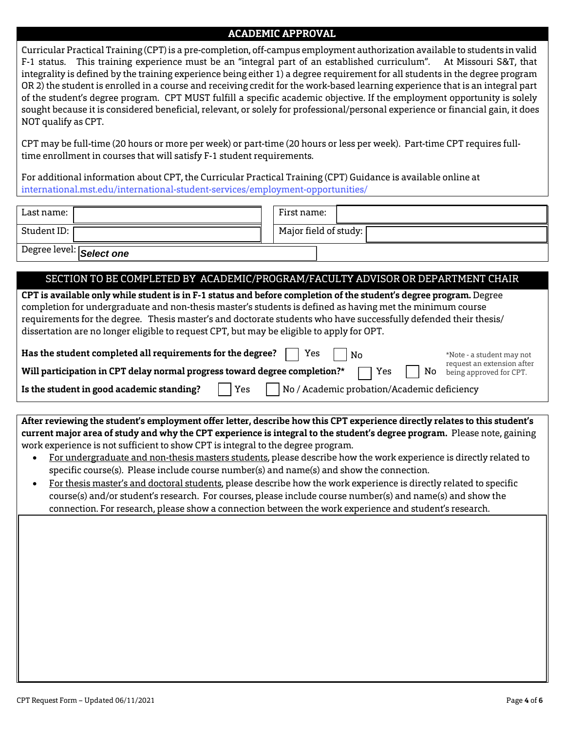## **ACADEMIC APPROVAL**

**C**urricular Practical Training (CPT) is a pre-completion, off-campus employment authorization available to students in valid F-1 status. This training experience must be an "integral part of an established curriculum". At Missouri S&T, that integrality is defined by the training experience being either 1) a degree requirement for all students in the degree program OR 2) the student is enrolled in a course and receiving credit for the work-based learning experience that is an integral part of the student's degree program. CPT MUST fulfill a specific academic objective. If the employment opportunity is solely sought because it is considered beneficial, relevant, or solely for professional/personal experience or financial gain, it does NOT qualify as CPT.

CPT may be full-time (20 hours or more per week) or part-time (20 hours or less per week). Part-time CPT requires fulltime enrollment in courses that will satisfy F-1 student requirements.

For additional information about CPT, the Curricular Practical Training (CPT) Guidance is available online at [international.mst.edu/international-student-services/employment-opportunities/](https://international.mst.edu/international-student-services/employment-opportunities/)

| Last name:               | First name:             |
|--------------------------|-------------------------|
| Student ID:              | Major field of study: [ |
| Degree level: Select one |                         |

### SECTION TO BE COMPLETED BY ACADEMIC/PROGRAM/FACULTY ADVISOR OR DEPARTMENT CHAIR

| CPT is available only while student is in F-1 status and before completion of the student's degree program. Degree<br>completion for undergraduate and non-thesis master's students is defined as having met the minimum course<br>requirements for the degree. Thesis master's and doctorate students who have successfully defended their thesis/<br>dissertation are no longer eligible to request CPT, but may be eligible to apply for OPT. |  |  |  |  |
|--------------------------------------------------------------------------------------------------------------------------------------------------------------------------------------------------------------------------------------------------------------------------------------------------------------------------------------------------------------------------------------------------------------------------------------------------|--|--|--|--|
| Has the student completed all requirements for the degree?<br>Yes<br>No<br>*Note - a student may not<br>request an extension after<br>Will participation in CPT delay normal progress toward degree completion?*<br>No<br>Yes<br>being approved for CPT.<br>No / Academic probation/Academic deficiency<br>Is the student in good academic standing?<br>Yes                                                                                      |  |  |  |  |
|                                                                                                                                                                                                                                                                                                                                                                                                                                                  |  |  |  |  |
| After reviewing the student's employment offer letter, describe how this CPT experience directly relates to this student's                                                                                                                                                                                                                                                                                                                       |  |  |  |  |
| current major area of study and why the CPT experience is integral to the student's degree program. Please note, gaining<br>work experience is not sufficient to show CPT is integral to the degree program.                                                                                                                                                                                                                                     |  |  |  |  |

- For undergraduate and non-thesis masters students, please describe how the work experience is directly related to specific course(s). Please include course number(s) and name(s) and show the connection.
- For thesis master's and doctoral students, please describe how the work experience is directly related to specific course(s) and/or student's research. For courses, please include course number(s) and name(s) and show the connection. For research, please show a connection between the work experience and student's research.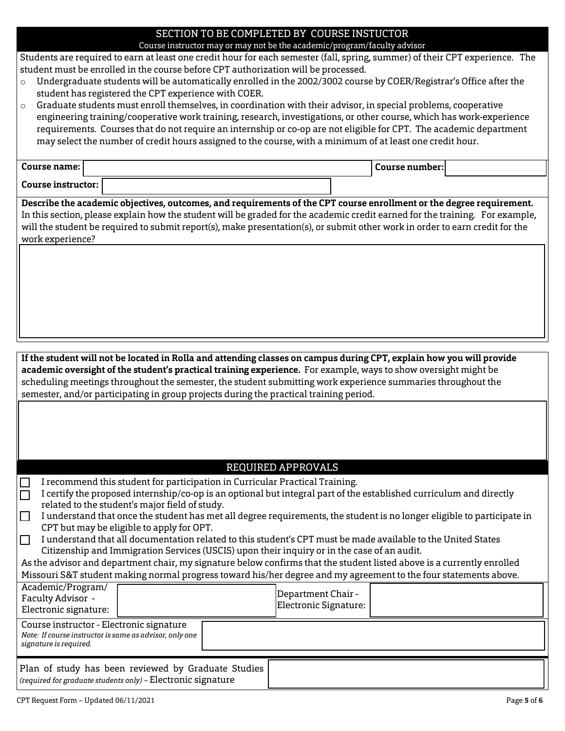#### SECTION TO BE COMPLETED BY COURSE INSTUCTOR Course instructor may or may not be the academic/program/faculty advisor

Students are required to earn at least one credit hour for each semester (fall, spring, summer) of their CPT experience. The student must be enrolled in the course before CPT authorization will be processed.

- o Undergraduate students will be automatically enrolled in the 2002/3002 course by COER/Registrar's Office after the student has registered the CPT experience with COER.
- $\circ$  Graduate students must enroll themselves, in coordination with their advisor, in special problems, cooperative engineering training/cooperative work training, research, investigations, or other course, which has work-experience requirements. Courses that do not require an internship or co-op are not eligible for CPT. The academic department may select the number of credit hours assigned to the course, with a minimum of at least one credit hour.

| Course name:       | Course number: l |  |
|--------------------|------------------|--|
| Course instructor: |                  |  |

**Describe the academic objectives, outcomes, and requirements of the CPT course enrollment or the degree requirement.** In this section, please explain how the student will be graded for the academic credit earned for the training. For example, will the student be required to submit report(s), make presentation(s), or submit other work in order to earn credit for the work experience?

**If the student will not be located in Rolla and attending classes on campus during CPT, explain how you will provide academic oversight of the student's practical training experience.** For example, ways to show oversight might be scheduling meetings throughout the semester, the student submitting work experience summaries throughout the semester, and/or participating in group projects during the practical training period.

## REQUIRED APPROVALS

I recommend this student for participation in Curricular Practical Training.

| I certify the proposed internship/co-op is an optional but integral part of the established curriculum and directly |
|---------------------------------------------------------------------------------------------------------------------|
| related to the student's major field of study.                                                                      |
|                                                                                                                     |

- I understand that once the student has met all degree requirements, the student is no longer eligible to participate in CPT but may be eligible to apply for OPT.
- I understand that all documentation related to this student's CPT must be made available to the United States П Citizenship and Immigration Services (USCIS) upon their inquiry or in the case of an audit.

As the advisor and department chair, my signature below confirms that the student listed above is a currently enrolled Missouri S&T student making normal progress toward his/her degree and my agreement to the four statements above.

| Academic/Program/<br>Faculty Advisor -<br>Electronic signature:                                                               |  |  | Department Chair -<br>Electronic Signature: |  |
|-------------------------------------------------------------------------------------------------------------------------------|--|--|---------------------------------------------|--|
| Course instructor - Electronic signature<br>Note: If course instructor is same as advisor, only one<br>signature is required. |  |  |                                             |  |
| Plan of study has been reviewed by Graduate Studies<br>(required for graduate students only) - Electronic signature           |  |  |                                             |  |